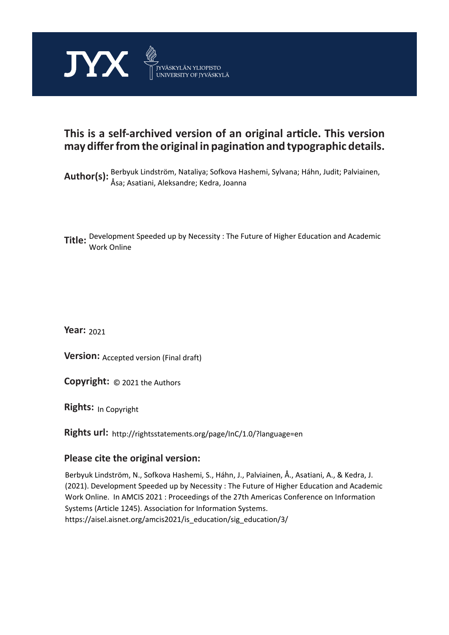

## **This is a self-archived version of an original article. This version may differ from the original in pagination and typographic details.**

Author(s): Berbyuk Lindström, Nataliya; Sofkova Hashemi, Sylvana; Háhn, Judit; Palviainen, Åsa; Asatiani, Aleksandre; Kedra, Joanna

**Title:**  Development Speeded up by Necessity : The Future of Higher Education and Academic Work Online

**Year:**  2021

**Version: Accepted version (Final draft)** 

**Version:** Accepted version (Final draft)<br>**Copyright:** © 2021 the Authors

**Rights:** In Copyright

**Rights url:**  http://rightsstatements.org/page/InC/1.0/?language=en

#### **Please cite the original version:**

Berbyuk Lindström, N., Sofkova Hashemi, S., Háhn, J., Palviainen, Å., Asatiani, A., & Kedra, J. (2021). Development Speeded up by Necessity : The Future of Higher Education and Academic Work Online. In AMCIS 2021 : Proceedings of the 27th Americas Conference on Information Systems (Article 1245). Association for Information Systems. https://aisel.aisnet.org/amcis2021/is\_education/sig\_education/3/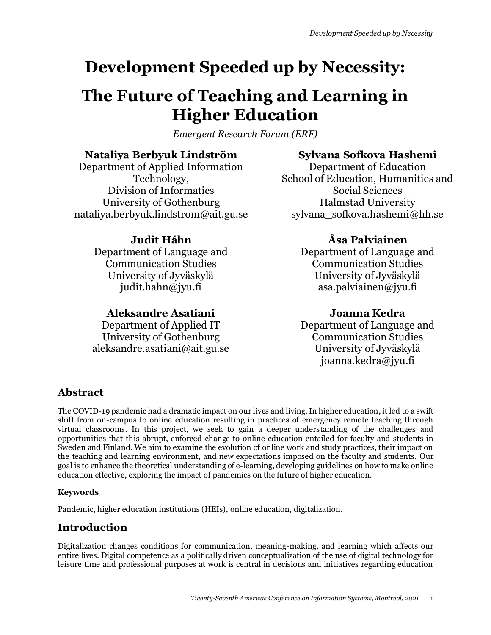# **Development Speeded up by Necessity:**

# **The Future of Teaching and Learning in Higher Education**

*Emergent Research Forum (ERF)*

#### **Nataliya Berbyuk Lindström**

Department of Applied Information Technology, Division of Informatics University of Gothenburg nataliya.berbyuk.lindstrom@ait.gu.se

## **Sylvana Sofkova Hashemi**

Department of Education School of Education, Humanities and Social Sciences Halmstad University sylvana sofkova.hashemi@hh.se

## **Judit Háhn**

Department of Language and Communication Studies University of Jyväskylä judit.hahn@jyu.fi

#### **Aleksandre Asatiani**

Department of Applied IT University of Gothenburg aleksandre.asatiani@ait.gu.se

## **Åsa Palviainen**

Department of Language and Communication Studies University of Jyväskylä asa.palviainen@jyu.fi

## **Joanna Kedra**

Department of Language and Communication Studies University of Jyväskylä joanna.kedra@jyu.fi

## **Abstract**

The COVID-19 pandemic had a dramatic impact on our lives and living. In higher education, it led to a swift shift from on-campus to online education resulting in practices of emergency remote teaching through virtual classrooms. In this project, we seek to gain a deeper understanding of the challenges and opportunities that this abrupt, enforced change to online education entailed for faculty and students in Sweden and Finland. We aim to examine the evolution of online work and study practices, their impact on the teaching and learning environment, and new expectations imposed on the faculty and students. Our goal is to enhance the theoretical understanding of e-learning, developing guidelines on how to make online education effective, exploring the impact of pandemics on the future of higher education.

#### **Keywords**

Pandemic, higher education institutions (HEIs), online education, digitalization.

## **Introduction**

Digitalization changes conditions for communication, meaning-making, and learning which affects our entire lives. Digital competence as a politically driven conceptualization of the use of digital technology for leisure time and professional purposes at work is central in decisions and initiatives regarding education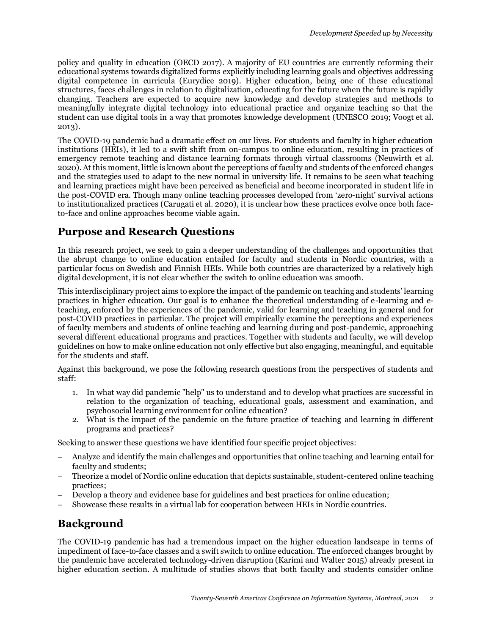policy and quality in education (OECD 2017). A majority of EU countries are currently reforming their educational systems towards digitalized forms explicitly including learning goals and objectives addressing digital competence in curricula (Eurydice 2019). Higher education, being one of these educational structures, faces challenges in relation to digitalization, educating for the future when the future is rapidly changing. Teachers are expected to acquire new knowledge and develop strategies and methods to meaningfully integrate digital technology into educational practice and organize teaching so that the student can use digital tools in a way that promotes knowledge development (UNESCO 2019; Voogt et al. 2013).

The COVID-19 pandemic had a dramatic effect on our lives. For students and faculty in higher education institutions (HEIs), it led to a swift shift from on-campus to online education, resulting in practices of emergency remote teaching and distance learning formats through virtual classrooms (Neuwirth et al. 2020). At this moment, little is known about the perceptions of faculty and students of the enforced changes and the strategies used to adapt to the new normal in university life. It remains to be seen what teaching and learning practices might have been perceived as beneficial and become incorporated in student life in the post-COVID era. Though many online teaching processes developed from 'zero-night' survival actions to institutionalized practices (Carugati et al. 2020), it is unclear how these practices evolve once both faceto-face and online approaches become viable again.

#### **Purpose and Research Questions**

In this research project, we seek to gain a deeper understanding of the challenges and opportunities that the abrupt change to online education entailed for faculty and students in Nordic countries, with a particular focus on Swedish and Finnish HEIs. While both countries are characterized by a relatively high digital development, it is not clear whether the switch to online education was smooth.

This interdisciplinary project aims to explore the impact of the pandemic on teaching and students' learning practices in higher education. Our goal is to enhance the theoretical understanding of e-learning and eteaching, enforced by the experiences of the pandemic, valid for learning and teaching in general and for post-COVID practices in particular. The project will empirically examine the perceptions and experiences of faculty members and students of online teaching and learning during and post-pandemic, approaching several different educational programs and practices. Together with students and faculty, we will develop guidelines on how to make online education not only effective but also engaging, meaningful, and equitable for the students and staff.

Against this background, we pose the following research questions from the perspectives of students and staff:

- 1. In what way did pandemic "help" us to understand and to develop what practices are successful in relation to the organization of teaching, educational goals, assessment and examination, and psychosocial learning environment for online education?
- 2. What is the impact of the pandemic on the future practice of teaching and learning in different programs and practices?

Seeking to answer these questions we have identified four specific project objectives:

- − Analyze and identify the main challenges and opportunities that online teaching and learning entail for faculty and students;
- Theorize a model of Nordic online education that depicts sustainable, student-centered online teaching practices;
- Develop a theory and evidence base for guidelines and best practices for online education;
- Showcase these results in a virtual lab for cooperation between HEIs in Nordic countries.

## **Background**

The COVID-19 pandemic has had a tremendous impact on the higher education landscape in terms of impediment of face-to-face classes and a swift switch to online education. The enforced changes brought by the pandemic have accelerated technology-driven disruption (Karimi and Walter 2015) already present in higher education section. A multitude of studies shows that both faculty and students consider online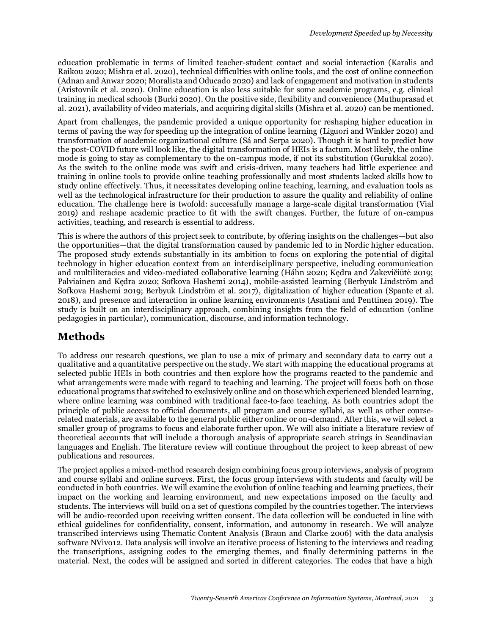education problematic in terms of limited teacher-student contact and social interaction (Karalis and Raikou 2020; Mishra et al. 2020), technical difficulties with online tools, and the cost of online connection (Adnan and Anwar 2020; Moralista and Oducado 2020) and lack of engagement and motivation in students (Aristovnik et al. 2020). Online education is also less suitable for some academic programs, e.g. clinical training in medical schools (Burki 2020). On the positive side, flexibility and convenience (Muthuprasad et al. 2021), availability of video materials, and acquiring digital skills (Mishra et al. 2020) can be mentioned.

Apart from challenges, the pandemic provided a unique opportunity for reshaping higher education in terms of paving the way for speeding up the integration of online learning (Liguori and Winkler 2020) and transformation of academic organizational culture (Sá and Serpa 2020). Though it is hard to predict how the post-COVID future will look like, the digital transformation of HEIs is a factum. Most likely, the online mode is going to stay as complementary to the on-campus mode, if not its substitution (Gurukkal 2020). As the switch to the online mode was swift and crisis-driven, many teachers had little experience and training in online tools to provide online teaching professionally and most students lacked skills how to study online effectively. Thus, it necessitates developing online teaching, learning, and evaluation tools as well as the technological infrastructure for their production to assure the quality and reliability of online education. The challenge here is twofold: successfully manage a large-scale digital transformation (Vial 2019) and reshape academic practice to fit with the swift changes. Further, the future of on-campus activities, teaching, and research is essential to address.

This is where the authors of this project seek to contribute, by offering insights on the challenges—but also the opportunities—that the digital transformation caused by pandemic led to in Nordic higher education. The proposed study extends substantially in its ambition to focus on exploring the potential of digital technology in higher education context from an interdisciplinary perspective, including communication and multiliteracies and video-mediated collaborative learning (Háhn 2020; Kędra and Žakevičiūtė 2019; Palviainen and Kędra 2020; Sofkova Hashemi 2014), mobile-assisted learning (Berbyuk Lindström and Sofkova Hashemi 2019; Berbyuk Lindström et al. 2017), digitalization of higher education (Spante et al. 2018), and presence and interaction in online learning environments (Asatiani and Penttinen 2019). The study is built on an interdisciplinary approach, combining insights from the field of education (online pedagogies in particular), communication, discourse, and information technology.

## **Methods**

To address our research questions, we plan to use a mix of primary and secondary data to carry out a qualitative and a quantitative perspective on the study. We start with mapping the educational programs at selected public HEIs in both countries and then explore how the programs reacted to the pandemic and what arrangements were made with regard to teaching and learning. The project will focus both on those educational programs that switched to exclusively online and on those which experienced blended learning, where online learning was combined with traditional face-to-face teaching. As both countries adopt the principle of public access to official documents, all program and course syllabi, as well as other courserelated materials, are available to the general public either online or on-demand. After this, we will select a smaller group of programs to focus and elaborate further upon. We will also initiate a literature review of theoretical accounts that will include a thorough analysis of appropriate search strings in Scandinavian languages and English. The literature review will continue throughout the project to keep abreast of new publications and resources.

The project applies a mixed-method research design combining focus group interviews, analysis of program and course syllabi and online surveys. First, the focus group interviews with students and faculty will be conducted in both countries. We will examine the evolution of online teaching and learning practices, their impact on the working and learning environment, and new expectations imposed on the faculty and students. The interviews will build on a set of questions compiled by the countries together. The interviews will be audio-recorded upon receiving written consent. The data collection will be conducted in line with ethical guidelines for confidentiality, consent, information, and autonomy in research. We will analyze transcribed interviews using Thematic Content Analysis (Braun and Clarke 2006) with the data analysis software NVivo12. Data analysis will involve an iterative process of listening to the interviews and reading the transcriptions, assigning codes to the emerging themes, and finally determining patterns in the material. Next, the codes will be assigned and sorted in different categories. The codes that have a high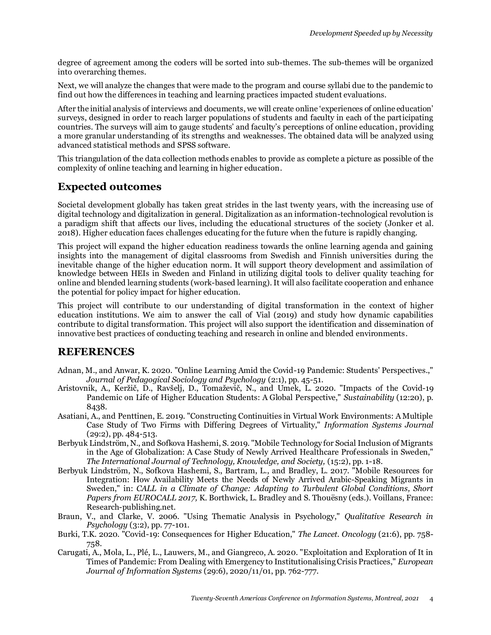degree of agreement among the coders will be sorted into sub-themes. The sub-themes will be organized into overarching themes.

Next, we will analyze the changes that were made to the program and course syllabi due to the pandemic to find out how the differences in teaching and learning practices impacted student evaluations.

After the initial analysis of interviews and documents, we will create online 'experiences of online education' surveys, designed in order to reach larger populations of students and faculty in each of the participating countries. The surveys will aim to gauge students' and faculty's perceptions of online education, providing a more granular understanding of its strengths and weaknesses. The obtained data will be analyzed using advanced statistical methods and SPSS software.

This triangulation of the data collection methods enables to provide as complete a picture as possible of the complexity of online teaching and learning in higher education.

#### **Expected outcomes**

Societal development globally has taken great strides in the last twenty years, with the increasing use of digital technology and digitalization in general. Digitalization as an information-technological revolution is a paradigm shift that affects our lives, including the educational structures of the society (Jonker et al. 2018). Higher education faces challenges educating for the future when the future is rapidly changing.

This project will expand the higher education readiness towards the online learning agenda and gaining insights into the management of digital classrooms from Swedish and Finnish universities during the inevitable change of the higher education norm. It will support theory development and assimilation of knowledge between HEIs in Sweden and Finland in utilizing digital tools to deliver quality teaching for online and blended learning students (work-based learning). It will also facilitate cooperation and enhance the potential for policy impact for higher education.

This project will contribute to our understanding of digital transformation in the context of higher education institutions. We aim to answer the call of Vial (2019) and study how dynamic capabilities contribute to digital transformation. This project will also support the identification and dissemination of innovative best practices of conducting teaching and research in online and blended environments.

#### **REFERENCES**

- Adnan, M., and Anwar, K. 2020. "Online Learning Amid the Covid-19 Pandemic: Students' Perspectives.," *Journal of Pedagogical Sociology and Psychology* (2:1), pp. 45-51.
- Aristovnik, A., Keržič, D., Ravšelj, D., Tomaževič, N., and Umek, L. 2020. "Impacts of the Covid-19 Pandemic on Life of Higher Education Students: A Global Perspective," *Sustainability* (12:20), p. 8438.
- Asatiani, A., and Penttinen, E. 2019. "Constructing Continuities in Virtual Work Environments: A Multiple Case Study of Two Firms with Differing Degrees of Virtuality," *Information Systems Journal* (29:2), pp. 484-513.
- Berbyuk Lindström, N., and Sofkova Hashemi, S. 2019. "Mobile Technology for Social Inclusion of Migrants in the Age of Globalization: A Case Study of Newly Arrived Healthcare Professionals in Sweden," *The International Journal of Technology, Knowledge, and Society,* (15:2), pp. 1-18.
- Berbyuk Lindström, N., Sofkova Hashemi, S., Bartram, L., and Bradley, L. 2017. "Mobile Resources for Integration: How Availability Meets the Needs of Newly Arrived Arabic-Speaking Migrants in Sweden," in: *CALL in a Climate of Change: Adapting to Turbulent Global Conditions, Short Papers from EUROCALL 2017,* K. Borthwick, L. Bradley and S. Thouësny (eds.). Voillans, France: Research-publishing.net.
- Braun, V., and Clarke, V. 2006. "Using Thematic Analysis in Psychology," *Qualitative Research in Psychology* (3:2), pp. 77-101.
- Burki, T.K. 2020. "Covid-19: Consequences for Higher Education," *The Lancet. Oncology* (21:6), pp. 758- 758.
- Carugati, A., Mola, L., Plé, L., Lauwers, M., and Giangreco, A. 2020. "Exploitation and Exploration of It in Times of Pandemic: From Dealing with Emergency to Institutionalising Crisis Practices," *European Journal of Information Systems* (29:6), 2020/11/01, pp. 762-777.